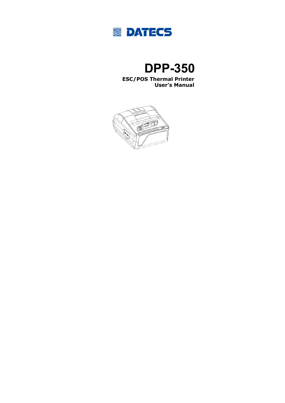

# **DPP-350**

#### **ESC/POS Thermal Printer User's Manual**

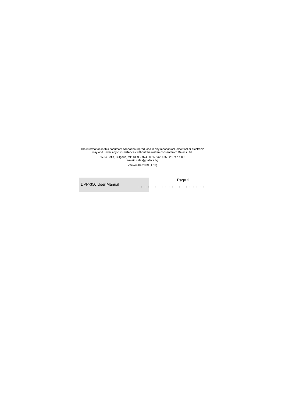The information in this document cannot be reproduced in any mechanical, electrical or electronic way and under any circumstances without the written consent from Datecs Ltd.

> 1784 Sofia, Bulgaria, tel: +359 2 974 00 55, fax: +359 2 974 11 00 e-mail: sales@datecs.bg

Version 04.2009 (1.50)

DPP-350 User Manual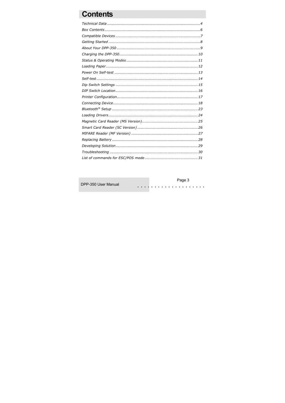# **Contents**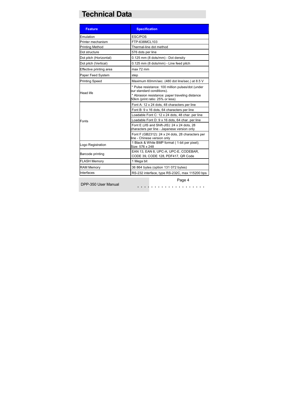# **Technical Data**

| <b>Feature</b>          | <b>Specification</b>                                                                                                                                                 |
|-------------------------|----------------------------------------------------------------------------------------------------------------------------------------------------------------------|
| Emulation               | ESC/POS                                                                                                                                                              |
| Printer mechanism       | FTP-638MCL103                                                                                                                                                        |
| <b>Printing Method</b>  | Thermal-line dot method                                                                                                                                              |
| Dot structure           | 576 dots per line                                                                                                                                                    |
| Dot pitch (Horizontal)  | 0.125 mm (8 dots/mm) - Dot density                                                                                                                                   |
| Dot pitch (Vertical)    | 0.125 mm (8 dots/mm) - Line feed pitch                                                                                                                               |
| Effective printing area | max 72 mm                                                                                                                                                            |
| Paper Feed System       | step                                                                                                                                                                 |
| <b>Printing Speed</b>   | Maximum 60mm/sec. (480 dot line/sec.) at 8.5 V                                                                                                                       |
| <b>Head life</b>        | * Pulse resistance: 100 million pulses/dot (under<br>our standard conditions).<br>* Abrasion resistance: paper traveling distance<br>50km (print ratio: 25% or less) |
|                         | Font A: 12 x 24 dots, 48 characters per line                                                                                                                         |
|                         | Font B: 9 x 16 dots, 64 characters per line                                                                                                                          |
|                         | Loadable Font C: 12 x 24 dots, 48 char. per line                                                                                                                     |
| Fonts                   | Loadable Font D: 9 x 16 dots, 64 char. per line                                                                                                                      |
|                         | Font E (JIS and Shift-JIS): 24 x 24 dots, 28<br>characters per line - Japanese version only                                                                          |
|                         | Font F (GB2312): 24 x 24 dots, 28 characters per<br>line - Chinese version only                                                                                      |
| Logo Registration       | 1 Black & White BMP format (1-bit per pixel);<br>Size: 576 x 248                                                                                                     |
| Barcode printing        | EAN 13, EAN 8, UPC-A, UPC-E, CODEBAR,<br>CODE 39, CODE 128, PDF417, QR Code                                                                                          |
| <b>FLASH Memory</b>     | 1 Mega bit                                                                                                                                                           |
| <b>RAM Memory</b>       | 36 864 bytes (option 131 072 bytes)                                                                                                                                  |
| Interfaces              | RS-232 interface, type RS-232C, max 115200 bps                                                                                                                       |

DPP-350 User Manual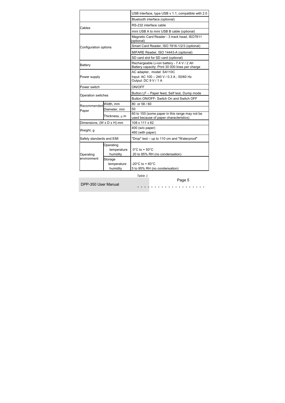|                                                   |                                      | USB interface, type USB v 1.1, compatible with 2.0                                            |  |
|---------------------------------------------------|--------------------------------------|-----------------------------------------------------------------------------------------------|--|
|                                                   | Bluetooth interface (optional)       |                                                                                               |  |
| Cables                                            |                                      | RS-232 interface cable                                                                        |  |
|                                                   |                                      | mini USB A to mini USB B cable (optional)                                                     |  |
|                                                   |                                      | Magnetic Card Reader - 3 track head, ISO7811<br>(optional)                                    |  |
| Configuration options                             |                                      | Smart Card Reader, ISO 7816-1/2/3 (optional)                                                  |  |
|                                                   |                                      | MIFARE Reader, ISO 14443-A (optional)                                                         |  |
|                                                   |                                      | SD card slot for SD card (optional)                                                           |  |
| <b>Battery</b>                                    |                                      | Rechargeable Li-ion battery - 7.4 V / 2 Ah<br>Battery capacity: Print 30 000 lines per charge |  |
| Power supply                                      |                                      | AC adapter, model: SA110C<br>Input: AC 100 - 240 V / 0.3 A; 50/60 Hz<br>Output: DC 9 V / 1 A  |  |
| Power switch                                      |                                      | ON/OFF                                                                                        |  |
| Operation switches                                |                                      | Button LF - Paper feed, Self test, Dump mode                                                  |  |
|                                                   |                                      | Button ON/OFF- Switch On and Switch OFF                                                       |  |
| Recommended Width, mm                             |                                      | 80 or 58 / 60                                                                                 |  |
| Paper                                             | Diameter, mm                         | 50                                                                                            |  |
|                                                   | Thickness, $\mu$ m                   | 60 to 100 (some paper in this range may not be<br>used because of paper characteristics)      |  |
| Dimensions, (W x D x H) mm                        |                                      | 108 x 111 x 62                                                                                |  |
| Weight, g                                         |                                      | 400 (w/o paper)<br>460 (with paper)                                                           |  |
| Safety standards and EMI                          |                                      | "Drop" test - up to 110 cm and "Waterproof"                                                   |  |
| Operating                                         | Operating<br>temperature<br>humidity | $0^{\circ}$ C to + 50 $^{\circ}$ C<br>20 to 85% RH (no condensation)                          |  |
| environment<br>Storage<br>temperature<br>humidity |                                      | $-20^{\circ}$ C to + 60 $^{\circ}$ C<br>5 to 95% RH (no condensation)                         |  |

DPP-350 User Manual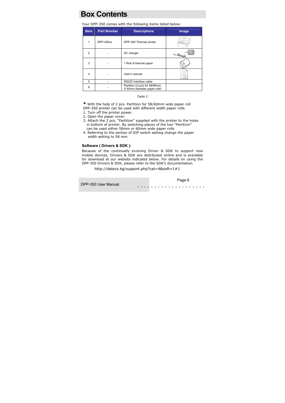### **Box Contents**

Your DPP-350 comes with the following items listed below:

| <b>Item</b> | <b>Part Number</b> | <b>Descriptions</b>                                           | Image |
|-------------|--------------------|---------------------------------------------------------------|-------|
|             | DPP-350xx          | DPP-350 Thermal printer                                       |       |
| 2           |                    | AC charger                                                    |       |
| 3           |                    | 1 Roll of thermal paper                                       |       |
| 4           |                    | User's manual                                                 |       |
| 5           |                    | RS232 Interface cable                                         |       |
| 6           |                    | Partition (2 pcs) for 58/60mm<br>X 50mm diameter paper rolls* |       |

*Table 2*

**\*** With the help of 2 pcs. Partition for 58/60mm wide paper roll DPP-350 printer can be used with different width paper rolls.

- 1. Turn off the printer power.
- 2. Open the paper cover.
- 3. Attach the 2 pcs. "Partition" supplied with the printer to the holes in bottom of printer. By switching places of the two "Partition" can be used either 58mm or 60mm wide paper rolls
- 4. Referring to the section of DIP switch setting change the paper width setting to 58 mm.

#### **Software ( Drivers & SDK ):**

Because of the continually evolving Driver & SDK to support new mobile devices, Drivers & SDK are distributed online and is available for download at our website indicated below. For details on using the DPP-350 Drivers & SDK, please refer to the SDK's documentation.

#### http://datecs.bg/support.php?cat=4&soft=1#1

. . . . . . . . . . . . . . . . . . . . Page 6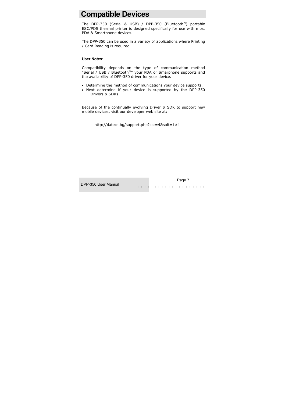### **Compatible Devices**

The DPP-350 (Serial & USB) / DPP-350 (Bluetooth®) portable ESC/POS thermal printer is designed specifically for use with most PDA & Smartphone devices.

The DPP-350 can be used in a variety of applications where Printing / Card Reading is required.

#### **User Notes:**

Compatibility depends on the type of communication method "Serial / USB / Bluetooth<sup>®</sup>" your PDA or Smarphone supports and the availability of DPP-350 driver for your device.

- Determine the method of communications your device supports.
- Next determine if your device is supported by the DPP-350 Drivers & SDKs.

Because of the continually evolving Driver & SDK to support new mobile devices, visit our developer web site at:

http://datecs.bg/support.php?cat=4&soft=1#1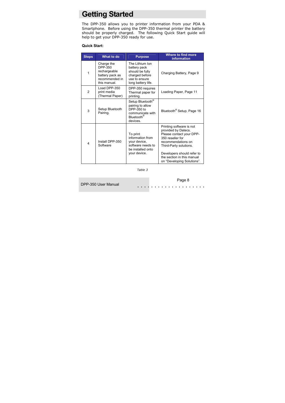### **Getting Started**

The DPP-350 allows you to printer information from your PDA & Smartphone. Before using the DPP-350 thermal printer the battery should be properly charged. The following Quick Start guide will help to get your DPP-350 ready for use.

#### **Quick Start:**

| <b>Steps</b>   | What to do                                                                                 | <b>Purpose</b>                                                                                               | Where to find more<br><b>information</b>                                                                                                                                                                                                  |
|----------------|--------------------------------------------------------------------------------------------|--------------------------------------------------------------------------------------------------------------|-------------------------------------------------------------------------------------------------------------------------------------------------------------------------------------------------------------------------------------------|
| 1              | Charge the<br>DPP-350<br>rechargeable<br>battery pack as<br>recommended in<br>this manual. | The Lithium Ion<br>battery pack<br>should be fully<br>charged before<br>use to ensure<br>long battery life.  | Charging Battery, Page 9                                                                                                                                                                                                                  |
| $\overline{2}$ | Load DPP-350<br>print media<br>(Thermal Paper)                                             | DPP-350 requires<br>Thermal paper for<br>printing.                                                           | Loading Paper, Page 11                                                                                                                                                                                                                    |
| 3              | Setup Bluetooth<br>Pairing.                                                                | Setup Bluetooth®<br>pairing to allow<br>DPP-350 to<br>communicate with<br>Bluetooth <sup>®</sup><br>devices. | Bluetooth <sup>®</sup> Setup, Page 16                                                                                                                                                                                                     |
| 4              | Install DPP-350<br>Software                                                                | To print<br>information from<br>your device,<br>software needs to<br>be installed onto<br>your device.       | Printing software is not<br>provided by Datecs.<br>Please contact your DPP-<br>350 reseller for<br>recommendations on<br>Third-Party solutions.<br>Developers should refer to<br>the section in this manual<br>on "Developing Solutions". |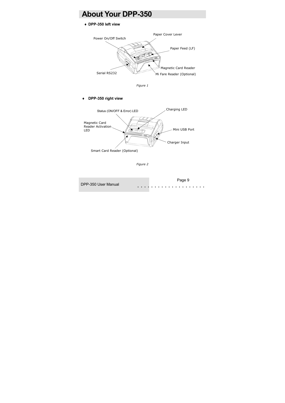### **About Your DPP-350**

#### ♦ **DPP-350 left view**



*Figure 1* 

DPP-350 right view



*Figure 2* 

. . . . . . . . . . . . . . . . . . . . Page 9 DPP-350 User Manual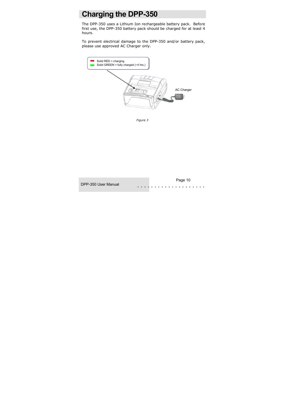### **Charging the DPP-350**

The DPP-350 uses a Lithium Ion rechargeable battery pack. Before first use, the DPP-350 battery pack should be charged for at least 4 hours.

To prevent electrical damage to the DPP-350 and/or battery pack, please use approved AC Charger only.



*Figure 3*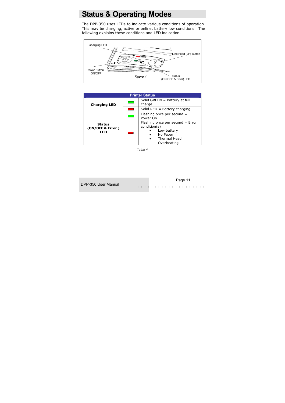### **Status & Operating Modes**

The DPP-350 uses LEDs to indicate various conditions of operation. This may be charging, active or online, battery low conditions. The following explains these conditions and LED indication.



| <b>Printer Status</b>                    |                                                 |                                                                                                                         |  |
|------------------------------------------|-------------------------------------------------|-------------------------------------------------------------------------------------------------------------------------|--|
| <b>Charging LED</b>                      | Solid GREEN = Battery at full<br>e en<br>charge |                                                                                                                         |  |
|                                          |                                                 | Solid $RED =$ Battery charging                                                                                          |  |
|                                          | Flashing once per second =<br>Power ON          |                                                                                                                         |  |
| <b>Status</b><br>(ON/OFF & Error)<br>LED | a a                                             | Flashing once per second = Error<br>condition(s)<br>Low battery<br>No Paper<br>Thermal Head<br>$\bullet$<br>Overheating |  |

*Table 4*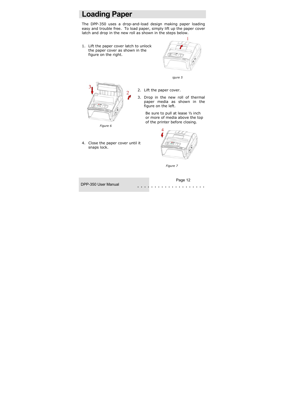### **Loading Paper**

The DPP-350 uses a drop-and-load design making paper loading easy and trouble free. To load paper, simply lift up the paper cover latch and drop in the new roll as shown in the steps below.

1. Lift the paper cover latch to unlock the paper cover as shown in the figure on the right.



*igure 5* 



2. Lift the paper cover.

3. Drop in the new roll of thermal paper media as shown in the figure on the left.

> Be sure to pull at lease ½ inch or more of media above the top of the printer before closing.



*Figure 7* 





*Figure 6* 

4. Close the paper cover until it snaps lock.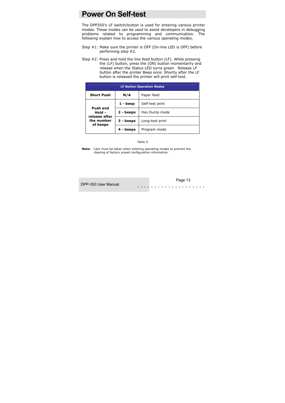### **Power On Self-test**

The DPP350's LF switch/button is used for entering various printer modes. These modes can be used to assist developers in debugging problems related to programming and communication. The following explain how to access the various operating modes.

- Step #1: Make sure the printer is OFF (On-line LED is OFF) before performing step #2.
- Step #2: Press and hold the line feed button (LF). While pressing the (LF) button, press the (ON) button momentarily and release when the Status LED turns green. Release LF button after the printer Beep once. Shortly after the LF button is released the printer will print self-test.

| <b>LF Button Operation Modes</b>       |             |                 |
|----------------------------------------|-------------|-----------------|
| <b>Short Push</b><br>N/A<br>Paper feed |             |                 |
|                                        | 1 - beep    | Self-test print |
| Push and<br>Hold -<br>release after    | $2 - beeps$ | Hex Dump mode   |
| the number<br>of beeps                 | 3 - beeps   | Long-test print |
|                                        | 4 - beeps   | Program mode    |

*Table 5*

**Note:** Care must be taken when entering operating modes to prevent the clearing of factory preset configuration information.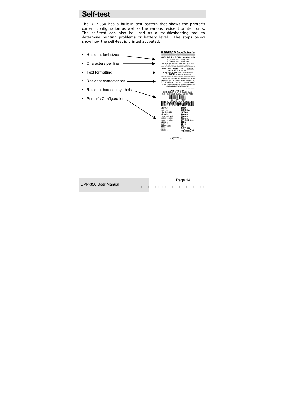### **Self-test**

The DPP-350 has a built-in test pattern that shows the printer's current configuration as well as the various resident printer fonts. The self-test can also be used as a troubleshooting tool to determine printing problems or battery level. The steps below show how the self-test is printed activated.



 *Figure 8* 

DPP-350 User Manual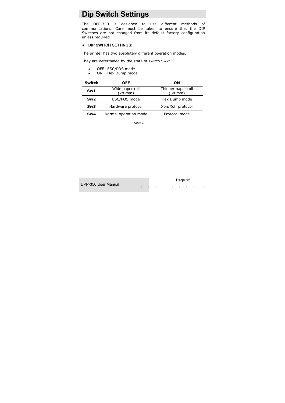### **Dip Switch Settings**

The DPP-350 is designed to use different methods of communications. Care must be taken to ensure that the DIP Switches are not changed from its default factory configuration unless required.

#### ♦ **DIP SWITCH SETTINGS:**

The printer has two absolutely different operation modes.

They are determined by the state of switch Sw2:

- OFF ESC/POS mode
- ON Hex Dump mode

| <b>Switch</b>   | <b>OFF</b>                      | OΝ                                      |
|-----------------|---------------------------------|-----------------------------------------|
| Sw1             | Wide paper roll<br>$(78$ mm $)$ | Thinner paper roll<br>$(58 \text{ mm})$ |
| Sw2             | ESC/POS mode                    | Hex Dump mode                           |
| Sw <sub>3</sub> | Hardware protocol               | Xon/Xoff protocol                       |
| Sw <sub>4</sub> | Normal operation mode           | Protocol mode                           |

*Table 6* 

DPP-350 User Manual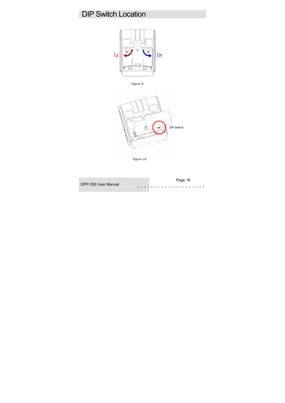### DIP Switch Location







*Figure 10* 

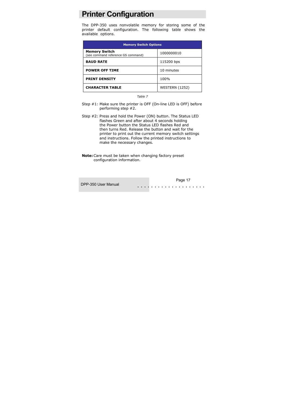### **Printer Configuration**

The DPP-350 uses nonvolatile memory for storing some of the printer default configuration. The following table shows the available options.

| <b>Memory Switch Options</b>                               |                       |  |
|------------------------------------------------------------|-----------------------|--|
| <b>Memory Switch</b><br>(see command reference GS command) | 1000000010            |  |
| <b>BAUD RATE</b>                                           | 115200 bps            |  |
| <b>POWER OFF TIME</b>                                      | 10 minutes            |  |
| <b>PRINT DENSITY</b>                                       | 100%                  |  |
| <b>CHARACTER TABLE</b>                                     | <b>WESTERN (1252)</b> |  |

*Table 7*

- Step #1: Make sure the printer is OFF (On-line LED is OFF) before performing step #2.
- Step #2: Press and hold the Power (ON) button. The Status LED flashes Green and after about 4 seconds holding the Power button the Status LED flashes Red and then turns Red. Release the button and wait for the printer to print out the current memory switch settings and instructions. Follow the printed instructions to make the necessary changes.
- **Note:** Care must be taken when changing factory preset configuration information.

. . . . . . . . . . . . . . . . . . . . Page 17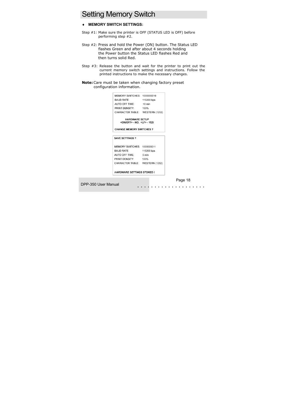### Setting Memory Switch

#### **MEMORY SWITCH SETTINGS:**

- Step #1: Make sure the printer is OFF (STATUS LED is OFF) before performing step #2.
- Step #2: Press and hold the Power (ON) button. The Status LED flashes Green and after about 4 seconds holding the Power button the Status LED flashes Red and then turns solid Red.
- Step  $#3$ : Release the button and wait for the printer to print out the current memory switch settings and instructions. Follow the printed instructions to make the necessary changes.
- **Note:** Care must be taken when changing factory preset configuration information.

| MEMORY SWITCHES: 1000000010                                     |                  |
|-----------------------------------------------------------------|------------------|
| <b>BAUD RATE:</b>                                               | 115200 bps       |
| AUTO OFF TIME:                                                  | $10 \text{ min}$ |
| PRINT DENSITY:                                                  | 100%             |
| CHARACTER TABLE: WESTERN (1252)                                 |                  |
| <b>HARDWARE SETUP</b><br><on off=""> - NO, <lf> - YES</lf></on> |                  |
| <b>CHANGE MEMORY SWITCHES?</b>                                  |                  |
|                                                                 |                  |
| <b>SAVE SETTINGS?</b>                                           |                  |
|                                                                 |                  |
| MEMORY SWITCHES: 1000000011                                     |                  |
| <b>BAUD RATE:</b>                                               | 115200 bps       |
| AUTO OFF TIME:                                                  | 5 min            |
| PRINT DENSITY:                                                  | 100%             |
| CHARACTER TABLE: WESTERN (1252)                                 |                  |
|                                                                 |                  |
| <b>HARDWARE SETTINGS STORED !</b>                               |                  |

DPP-350 User Manual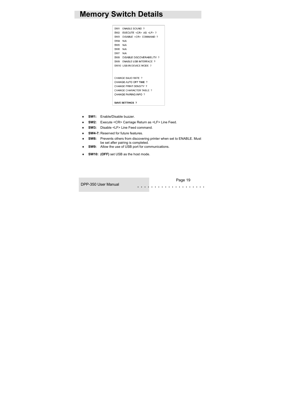### **Memory Switch Details**

```
SW1 FNARLE SOUND ?
SW2 EXECUTE <CR> AS <LF> ?
SW3 DISABLE <CR> COMMAND ?
SW4 N/A
SW<sub>5</sub> N/A
SW6 N/A
SW7 N/A
SW8 DISABLE DISCOVERABELITY ?
SW9 ENABLE USB INTERFACE ?
SW10 USB IN DEVICE MODE ?
CHANGE BAUD RATE ?
CHANGE AUTO OFF TIME ?
CHANGE PRINT DENSITY ?
CHANGE CHARACTER TABLE ?
CHANGE PAIRING INFO ?
SAVE SETTINGS ?
```
- **SW1: Enable/Disable buzzer**
- ♦ **SW2:** Execute <CR> Carriage Return as <LF> Line Feed.
- **SW3:** Disable <LF> Line Feed command.
- **SW4-7: Reserved for future features.**
- **SW8:** Prevents others from discovering printer when set to ENABLE. Must be set after pairing is completed.
- **SW9:** Allow the use of USB port for communications.
- **SW10: (OFF)** set USB as the host mode.

. . . . . . . . . . . . . . . . . . . . Page 19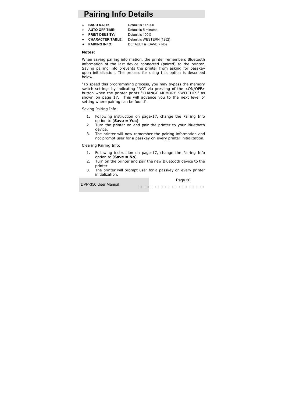# **Pairing Info Details**

**BAUD RATE:** Default is 115200

♦ **AUTO OFF TIME:** Default is 5 minutes

- ♦ **PRINT DENSITY:** Default is 100%
- **CHARACTER TABLE:** Default is WESTERN (1252)
- ♦ **PAIRING INFO:** DEFAULT is (SAVE = No)

#### **Notes:**

When saving pairing information, the printer remembers Bluetooth information of the last device connected (paired) to the printer. Saving pairing info prevents the printer from asking for passkey upon initialization. The process for using this option is described below.

"To speed this programming process, you may bypass the memory switch settings by indicating "NO" via pressing of the <ON/OFF> button when the printer prints "CHANGE MEMORY SWITCHES" as shown on page 17. This will advance you to the next level of setting where pairing can be found".

Saving Pairing Info:

- 1. Following instruction on page-17, change the Pairing Info option to [**Save = Yes**].
- 2. Turn the printer on and pair the printer to your Bluetooth device.
- 3. The printer will now remember the pairing information and not prompt user for a passkey on every printer initialization.

Clearing Pairing Info:

- 1. Following instruction on page-17, change the Pairing Info option to [**Save = No**].
- 2. Turn on the printer and pair the new Bluetooth device to the printer.
- 3. The printer will prompt user for a passkey on every printer initialization.

DPP-350 User Manual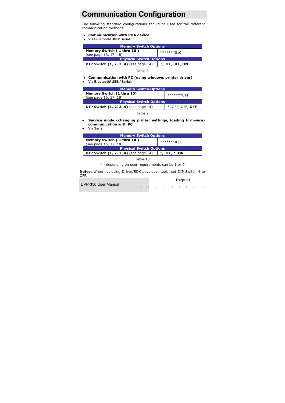# **Communication Configuration**

The following standard configurations should be used for the different communication methods.

- ♦ **Communication with PDA device**
- ♦ **Via Bluetooth/ USB/ Serial:**

| <b>Memory Switch Options</b>                                      |  |  |  |
|-------------------------------------------------------------------|--|--|--|
| Memory Switch (1 thru 10)<br>********010<br>(see page 16, 17, 18) |  |  |  |
| <b>Physical Switch Options</b>                                    |  |  |  |
| DIP Switch (1, 2, 3, 4) (see page 14)<br>$*$ , OFF, OFF, ON       |  |  |  |

Table 8

- ♦ **Communication with PC (using windows printer driver)**
- ♦ **Via Bluetooth/ USB./ Serial:**

| <b>Memory Switch Options</b>                                 |            |  |  |
|--------------------------------------------------------------|------------|--|--|
| Memory Switch (1 thru 10)                                    | *******011 |  |  |
| (see page 16, 17, 18)                                        |            |  |  |
| <b>Physical Switch Options</b>                               |            |  |  |
| DIP Switch (1, 2, 3, 4) (see page 14)<br>$*$ , OFF, OFF, OFF |            |  |  |

Table 9

- ♦ **Service mode (changing printer settings, loading firmware) communication with PC**
- **Via Serial**

| <b>Memory Switch Options</b>                                 |            |  |
|--------------------------------------------------------------|------------|--|
| Memory Switch (1 thru 10)                                    | *******011 |  |
| (see page 16, 17, 18)                                        |            |  |
| <b>Physical Switch Options</b>                               |            |  |
| DIP Switch (1, 2, 3, 4) (see page 14)<br>$*$ , OFF, $*$ , ON |            |  |

Table 10

\* - depending on user requirements can be 1 or 0

**Notes:** When not using Driver/SDK developer tools, set DIP Switch 4 to OFF.

DPP-350 User Manual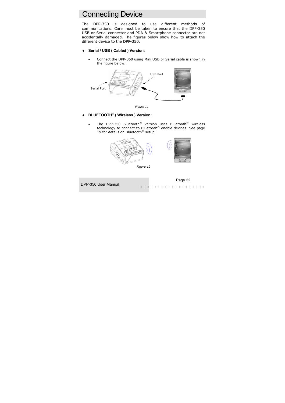### Connecting Device

The DPP-350 is designed to use different methods of communications. Care must be taken to ensure that the DPP-350 USB or Serial connector and PDA & Smartphone connector are not accidentally damaged. The figures below show how to attach the different device to the DPP-350.

- Serial / USB ( Cabled ) Version:
	- Connect the DPP-350 using Mini USB or Serial cable is shown in the figure below.





- ♦ **BLUETOOTH® ( Wireless ) Version:** 
	- The DPP-350 Bluetooth® version uses Bluetooth® wireless technology to connect to Bluetooth® enable devices. See page 19 for details on Bluetooth<sup>®</sup> setup.









DPP-350 User Manual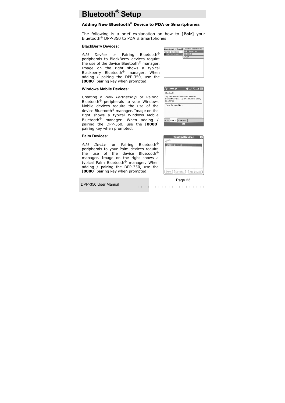# **Bluetooth® Setup**

#### **Adding New Bluetooth® Device to PDA or Smartphones**

The following is a brief explanation on how to [**Pair**] your Bluetooth® DPP-350 to PDA & Smartphones.

#### **BlackBerry Devices:**

*Add Device* or Pairing Bluetooth® peripherals to BlackBerry devices require the use of the device Bluetooth<sup>®</sup> manager. Image on the right shows a typical Blackberry Bluetooth® manager. When adding / pairing the DPP-350, use the [**0000**] pairing key when prompted.

#### **Windows Mobile Devices:**

Creating a *New Partnership* or Pairing Bluetooth® peripherals to your Windows Mobile devices require the use of the device Bluetooth® manager. Image on the right shows a typical Windows Mobile Bluetooth® manager. When adding / pairing the DPP-350, use the [**0000**] pairing key when prompted.

#### **Palm Devices:**

*Add Device* or Pairing Bluetooth® peripherals to your Palm devices require the use of the device Bluetooth® manager. Image on the right shows a typical Palm Bluetooth® manager. When adding / pairing the DPP-350, use the [**0000**] pairing key when prompted.



| ピンマー ok<br><b>Cisettings</b>                                                                           |
|--------------------------------------------------------------------------------------------------------|
| Bluetooth                                                                                              |
| Tap New Partnership to scan for other<br>Bluetooth devices. Tap on a device to modify<br>its settinas. |
| New Partnership                                                                                        |
| Mode Devices COM Ports                                                                                 |



# . . . . . . . . . . . . . . . . . . . . Page 23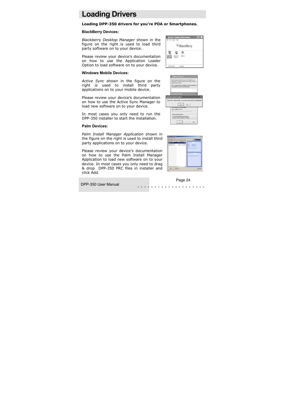### **Loading Drivers**

#### **Loading DPP-350 drivers for you're PDA or Smartphones.**

#### **BlackBerry Devices:**

*Blackberry Desktop Manager* shown in the figure on the right is used to load third party software on to your device.

Please review your device's documentation on how to use the Application Loader Option to load software on to your device.

#### **Windows Mobile Devices:**

*Active Sync* shown in the figure on the right is used to install third party applications on to your mobile device.

Please review your device's documentation on how to use the Active Sync Manager to load new software on to your device.

In most cases you only need to run the DPP-350 installer to start the installation.

#### **Palm Devices:**

*Palm Install Manager Application* shown in the figure on the right is used to install third party applications on to your device.

Please review your device's documentation on how to use the Palm Install Manager Application to load new software on to your device. In most cases you only need to drag & drop DPP-350 PRC files in installer and click Add.



| <b>LEGENHOW Programs</b>                                                                                                                                     |  |
|--------------------------------------------------------------------------------------------------------------------------------------------------------------|--|
| Select a program) check box il you want to install it on your<br>noble device, or clear the check box if you want to remove the<br>program from your device. |  |
| Note: If a program that you installed is not listed. the program was:<br>not designed to be used on your mobile device.                                      |  |
|                                                                                                                                                              |  |
| <b><u>Retrieving Device Data</u></b>                                                                                                                         |  |
| <b>Applications Already Installed</b>                                                                                                                        |  |
| "Printer Utility" is already installed. Do you want to proceed with the re-installiaggrade?                                                                  |  |
| to:<br><b>Tes</b>                                                                                                                                            |  |
| youce request to seabled program.<br>Space available on device<br>P lead popus it's the dring intaking folder                                                |  |
| - Renove from both locations<br>To senove the selected program from both<br>your device and this computer, click Remove.                                     |  |
|                                                                                                                                                              |  |



DPP-350 User Manual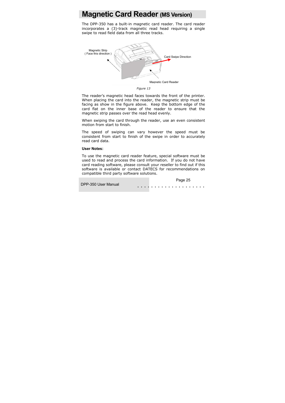### **Magnetic Card Reader (MS Version)**

The DPP-350 has a built-in magnetic card reader. The card reader incorporates a (3)-track magnetic read head requiring a single swipe to read field data from all three tracks.



*Figure 13* 

The reader's magnetic head faces towards the front of the printer. When placing the card into the reader, the magnetic strip must be facing as show in the figure above. Keep the bottom edge of the card flat on the inner base of the reader to ensure that the magnetic strip passes over the read head evenly.

When swiping the card through the reader, use an even consistent motion from start to finish.

The speed of swiping can vary however the speed must be consistent from start to finish of the swipe in order to accurately read card data.

#### **User Notes:**

To use the magnetic card reader feature, special software must be used to read and process the card information. If you do not have card reading software, please consult your reseller to find out if this software is available or contact DATECS for recommendations on compatible third party software solutions.

DPP-350 User Manual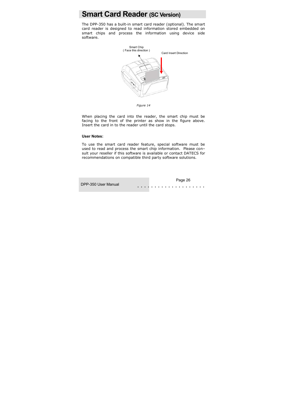### **Smart Card Reader (SC Version)**

The DPP-350 has a built-in smart card reader (optional). The smart card reader is designed to read information stored embedded on smart chips and process the information using device side software.



*Figure 14* 

When placing the card into the reader, the smart chip must be facing to the front of the printer as show in the figure above. Insert the card in to the reader until the card stops.

#### **User Notes:**

To use the smart card reader feature, special software must be used to read and process the smart chip information. Please con– sult your reseller if this software is available or contact DATECS for recommendations on compatible third party software solutions.

. . . . . . . . . . . . . . . . . . . . Page 26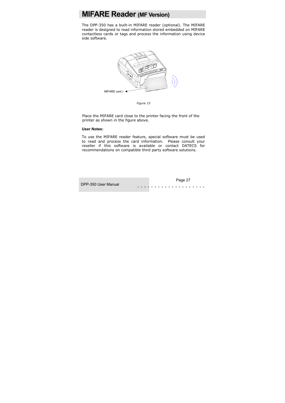### **MIFARE Reader (MF Version)**

The DPP-350 has a built-in MIFARE reader (optional). The MIFARE reader is designed to read information stored embedded on MIFARE contactless cards or tags and process the information using device side software.



*Figure 15* 

 Place the MIFARE card close to the printer facing the front of the printer as shown in the figure above.

#### **User Notes:**

To use the MIFARE reader feature, special software must be used to read and process the card information. Please consult your reseller if this software is available or contact DATECS for recommendations on compatible third party software solutions.

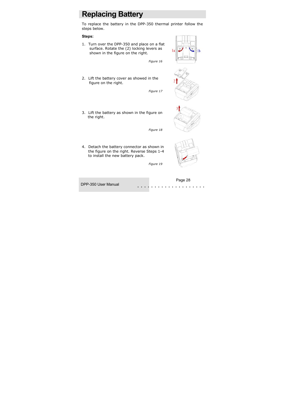### **Replacing Battery**

To replace the battery in the DPP-350 thermal printer follow the steps below.

#### **Steps:**

- 1. Turn over the DPP-350 and place on a flat surface. Rotate the (2) locking levers as shown in the figure on the right.
- 2. Lift the battery cover as showed in the figure on the right.

3. Lift the battery as shown in the figure on the right.

*Figure 18* 

*Figure 16* 

*Figure 17* 

4. Detach the battery connector as shown in the figure on the right. Reverse Steps 1-4 to install the new battery pack.

*Figure 19* 

. . . . . . . . . . . . . . . . . . . . Page 28







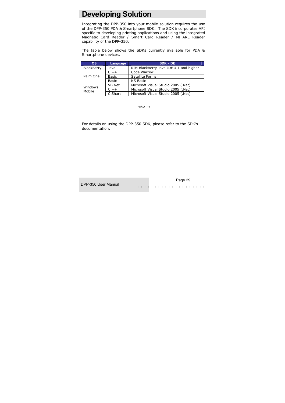### **Developing Solution**

Integrating the DPP-350 into your mobile solution requires the use of the DPP-350 PDA & Smartphone SDK. The SDK incorporates API specific to developing printing applications and using the integrated Magnetic Card Reader / Smart Card Reader / MIFARE Reader capability of the DPP-350.

The table below shows the SDKs currently available for PDA & Smartphone devices.

| <b>OS</b>         | <b>Language</b> | SDK - IDE                              |
|-------------------|-----------------|----------------------------------------|
| BlackBerry        | Java            | RIM BlackBerry Java JDE 4.1 and higher |
| Palm One          | $C_{++}$        | Code Warrior                           |
|                   | <b>Basic</b>    | Satellite Forms                        |
|                   | <b>Basic</b>    | <b>NS Basic</b>                        |
| Windows<br>Mobile | VB.Net          | Microsoft Visual Studio 2005 (.Net)    |
|                   | $C + +$         | Microsoft Visual Studio 2005 (.Net)    |
|                   | C Sharp         | Microsoft Visual Studio 2005 (.Net)    |

*Table 13* 

For details on using the DPP-350 SDK, please refer to the SDK's documentation.

DPP-350 User Manual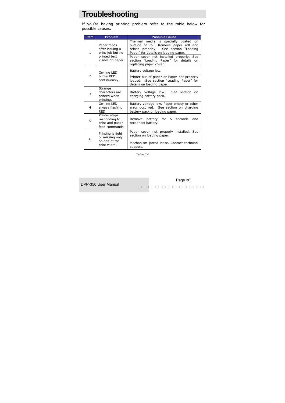### **Troubleshooting**

If you're having printing problem refer to the table below for possible causes.

| <b>Item</b>    | Problem                                                                                 | <b>Possible Cause</b>                                                                                                                                                                                                                                                                |
|----------------|-----------------------------------------------------------------------------------------|--------------------------------------------------------------------------------------------------------------------------------------------------------------------------------------------------------------------------------------------------------------------------------------|
| 1              | Paper feeds<br>after issuing a<br>print job but no<br>printed text<br>visible on paper. | Thermal media is specially coated<br>on<br>outside of roll. Remove paper roll and<br>reload properly. See section "Loading<br>Paper" for details on loading paper.<br>Paper cover not installed properly. See<br>section "Loading Paper" for details<br>on<br>replacing paper cover. |
|                | On-line LED                                                                             | Battery voltage low.                                                                                                                                                                                                                                                                 |
| $\overline{2}$ | hlinks RFD<br>continuously.                                                             | Printer out of paper or Paper not properly<br>loaded. See section "Loading Paper" for<br>details on loading paper.                                                                                                                                                                   |
| 3              | Strange<br>characters are<br>printed when<br>printing.                                  | Battery voltage low.<br>See section<br><sub>on</sub><br>charging battery pack.                                                                                                                                                                                                       |
| 4              | On-line LED<br>always flashing<br>RED                                                   | Battery voltage low, Paper empty or other<br>error occurred. See section on charging<br>battery pack or loading paper.                                                                                                                                                               |
| 5              | Printer stops<br>responding to<br>print and paper<br>feed commands.                     | Remove battery for 5 seconds<br>and<br>reconnect battery.                                                                                                                                                                                                                            |
| 6              | Printing is light<br>or missing only                                                    | Paper cover not properly installed. See<br>section on loading paper.                                                                                                                                                                                                                 |
|                | on half of the<br>print width.                                                          | Mechanism jarred loose. Contact technical<br>support.                                                                                                                                                                                                                                |

*Table 14* 

DPP-350 User Manual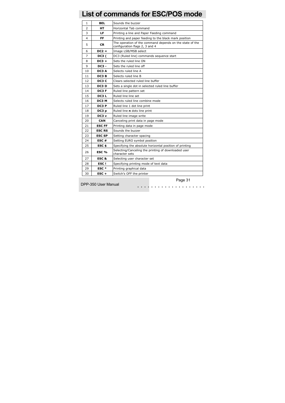# **List of commands for ESC/POS mode**

| $\mathbf{1}$   | <b>BEL</b>        | Sounds the buzzer                                                                          |
|----------------|-------------------|--------------------------------------------------------------------------------------------|
| $\overline{2}$ | HТ                | Horizontal Tab command                                                                     |
| 3              | LF.               | Printing a line and Paper Feeding command                                                  |
| $\overline{4}$ | FF                | Printing and paper feeding to the black mark position                                      |
| 5              | CR                | The operation of the command depends on the state of the<br>configuration flags 2, 3 and 4 |
| 6              | $DC2 =$           | Image LSB/MSB select                                                                       |
| 7              | <b>DC3</b> (      | DC3 (Ruled line) commands sequence start                                                   |
| 8              | $DC3 +$           | Sets the ruled line ON                                                                     |
| 9              | DC3 -             | Sets the ruled line off                                                                    |
| 10             | DC3 A             | Selects ruled line A                                                                       |
| 11             | DC3 B             | Selects ruled line B                                                                       |
| 12             | DC3 C             | Clears selected ruled line buffer                                                          |
| 13             | DC3 D             | Sets a single dot in selected ruled line buffer                                            |
| 14             | DC3 F             | Ruled line pattern set                                                                     |
| 15             | DC3L              | Ruled line line set                                                                        |
| 16             | DC3 M             | Selects ruled line combine mode                                                            |
| 17             | DC3 P             | Ruled line 1 dot line print                                                                |
| 18             | DC3 p             | Ruled line n dots line print                                                               |
| 19             | DC3 v             | Ruled line image write                                                                     |
| 20             | <b>CAN</b>        | Canceling print data in page mode                                                          |
| 21             | <b>ESC FF</b>     | Printing data in page mode                                                                 |
| 22             | <b>ESC RS</b>     | Sounds the buzzer                                                                          |
| 23             | <b>ESC SP</b>     | Setting character spacing                                                                  |
| 24             | ESC#              | Setting EURO symbol position                                                               |
| 25             | ESC \$            | Specifying the absolute horizontal position of printing                                    |
| 26             | ESC %             | Selecting/Canceling the printing of downloaded user<br>character sets                      |
| 27             | ESC &             | Selecting user character set                                                               |
| 28             | ESC!              | Specifying printing mode of text data                                                      |
| 29             | ESC*              | Printing graphical data                                                                    |
| 30             | $\mathsf{esc}\$ + | Switch's OFF the printer                                                                   |

DPP-350 User Manual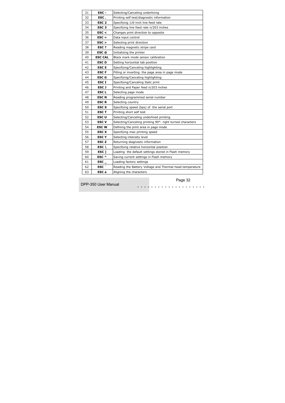| 31 | ESC -            | Selecting/Canceling underlining                           |
|----|------------------|-----------------------------------------------------------|
| 32 | ESC.             | Printing self test/diagnostic information                 |
| 33 | ESC <sub>2</sub> | Specifying 1/6-inch line feed rate                        |
| 34 | ESC <sub>3</sub> | Specifying line feed rate n/203 inches                    |
| 35 | $\texttt{esc}$   | Changes print direction to opposite                       |
| 36 | $\mathsf{ESC} =$ | Data input control                                        |
| 37 | $ESC$ >          | Selecting print direction                                 |
| 38 | ESC?             | Reading magnetic stripe card                              |
| 39 | ESC @            | Initializing the printer                                  |
| 40 | <b>ESC CAL</b>   | Black mark mode sensor calibration                        |
| 41 | <b>ESCD</b>      | Setting horizontal tab position                           |
| 42 | <b>ESCE</b>      | Specifying/Canceling highlighting                         |
| 43 | <b>ESC F</b>     | Filling or inverting the page area in page mode           |
| 44 | <b>ESC G</b>     | Specifying/Canceling highlighting                         |
| 45 | <b>ESCI</b>      | Specifying/Canceling Italic print                         |
| 46 | <b>ESCJ</b>      | Printing and Paper feed n/203 inches                      |
| 47 | <b>ESCL</b>      | Selecting page mode                                       |
| 48 | <b>ESCN</b>      | Reading programmed serial number                          |
| 49 | <b>ESCR</b>      | Selecting country                                         |
| 50 | <b>ESCS</b>      | Specifying speed (bps) of the serial port                 |
| 51 | <b>ESC T</b>     | Printing short self test                                  |
| 52 | <b>ESCU</b>      | Selecting/Canceling underlined printing                   |
| 53 | <b>ESC V</b>     | Selecting/Canceling printing 90°- right turned characters |
| 54 | <b>ESCW</b>      | Defining the print area in page mode                      |
| 55 | <b>ESC X</b>     | Specifying max printing speed                             |
| 56 | <b>ESCY</b>      | Selecting intensity level                                 |
| 57 | <b>ESC Z</b>     | Returning diagnostic information                          |
| 58 | ESC $\lambda$    | Specifying relative horizontal position                   |
| 59 | ESC <sub>1</sub> | Loading the default settings stored in Flash memory       |
| 60 | ESC ^            | Saving current settings in Flash memory                   |
| 61 | ESC              | Loading factory settings                                  |
| 62 | ESC <sup>-</sup> | Reading the Battery Voltage and Thermal head temperature  |
| 63 | ESC a            | Aligning the characters                                   |

DPP-350 User Manual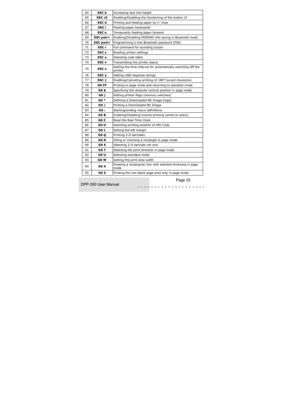| 64 | <b>ESC</b> b            | Increasing text line height                                              |
|----|-------------------------|--------------------------------------------------------------------------|
| 65 | ESC <sub>c5</sub>       | Enabling/Disabling the functioning of the button LF                      |
| 66 | <b>ESC d</b>            | Printing and feeding paper by n- lines                                   |
| 67 | ESC i                   | Feeding paper backwards                                                  |
| 68 | ESC o                   | Temporarily feeding paper forward                                        |
| 69 | <b>ESC</b> pair=        | Enabling/Disabling PAIRING info saving in Bluetooth mode                 |
| 70 | ESC pwd=                | Programming a new Bluetooth password (PIN)                               |
| 71 | ESC r                   | Full command for sounding buzzer                                         |
| 72 | <b>ESC<sub>s</sub></b>  | Reading printer settings                                                 |
| 73 | ESC u                   | Selecting code table                                                     |
| 74 | <b>ESC</b> v            | Transmitting the printer status                                          |
| 75 | <b>ESC</b> <sub>x</sub> | Setting the time interval for automatically switching Off the<br>printer |
| 76 | ESC <sub>y</sub>        | Setting USB response strings                                             |
| 77 | ESC $\{$                | Enabling/Canceling printing of 180° turned characters                    |
| 78 | GS FF                   | Printing in page mode and returning to standard mode                     |
| 79 | GS \$                   | Specifying the absolute vertical position in page mode                   |
| 80 | GS)                     | Setting printer flags (memory switches)                                  |
| 81 | GS *                    | Defining a Downloaded Bit Image (logo)                                   |
| 82 | GS /                    | Printing a Downloaded Bit Image                                          |
| 83 | GS :                    | Starting/ending macro definitions                                        |
| 84 | GS B                    | Enabling/Disabling inverse printing (white on black)                     |
| 85 | GS C                    | Read the Real Time Clock                                                 |
| 86 | GS H                    | Selecting printing position of HRI Code                                  |
| 87 | GS L                    | Setting the left margin                                                  |
| 88 | GS 0                    | Printing 2-D barcodes                                                    |
| 89 | GS R                    | Filling or inverting a rectangle in page mode                            |
| 90 | GS S                    | Selecting 2-D barcode cell size                                          |
| 91 | GS T                    | Selecting the print direction in page mode                               |
| 92 | GS U                    | Selecting standard mode                                                  |
| 93 | GS W                    | Setting the print area width                                             |
| 94 | GS X                    | Drawing a rectangular box with selected thickness in page<br>mode        |
| 95 | GS Z                    | Printing the non blank page area only in page mode                       |

DPP-350 User Manual